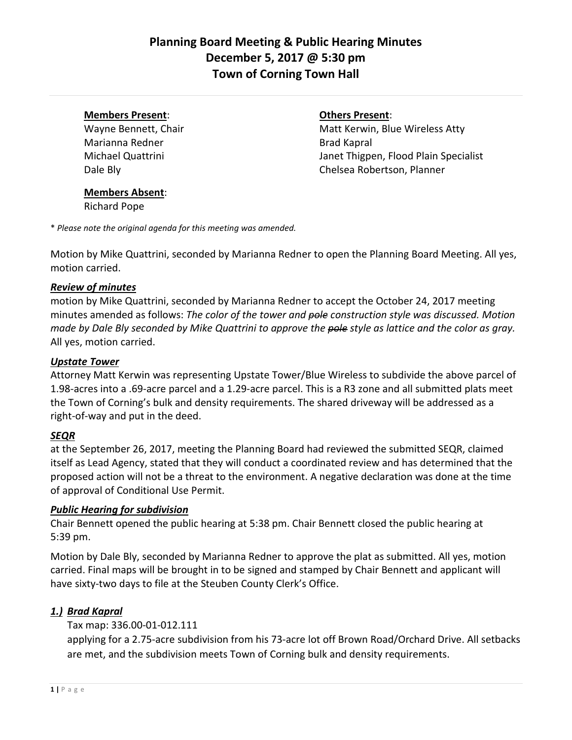# **Planning Board Meeting & Public Hearing Minutes December 5, 2017 @ 5:30 pm Town of Corning Town Hall**

#### **Members Present**: **Others Present**:

Marianna Redner **Brad Kapral** 

Wayne Bennett, Chair **Matt Kerwin, Blue Wireless Atty** Michael Quattrini Janet Thigpen, Flood Plain Specialist Dale Bly Chelsea Robertson, Planner

#### **Members Absent**:

Richard Pope

\* *Please note the original agenda for this meeting was amended.*

Motion by Mike Quattrini, seconded by Marianna Redner to open the Planning Board Meeting. All yes, motion carried.

## *Review of minutes*

motion by Mike Quattrini, seconded by Marianna Redner to accept the October 24, 2017 meeting minutes amended as follows: *The color of the tower and pole construction style was discussed. Motion made by Dale Bly seconded by Mike Quattrini to approve the pole style as lattice and the color as gray.*  All yes, motion carried.

#### *Upstate Tower*

Attorney Matt Kerwin was representing Upstate Tower/Blue Wireless to subdivide the above parcel of 1.98-acres into a .69-acre parcel and a 1.29-acre parcel. This is a R3 zone and all submitted plats meet the Town of Corning's bulk and density requirements. The shared driveway will be addressed as a right-of-way and put in the deed.

## *SEQR*

at the September 26, 2017, meeting the Planning Board had reviewed the submitted SEQR, claimed itself as Lead Agency, stated that they will conduct a coordinated review and has determined that the proposed action will not be a threat to the environment. A negative declaration was done at the time of approval of Conditional Use Permit.

## *Public Hearing for subdivision*

Chair Bennett opened the public hearing at 5:38 pm. Chair Bennett closed the public hearing at 5:39 pm.

Motion by Dale Bly, seconded by Marianna Redner to approve the plat as submitted. All yes, motion carried. Final maps will be brought in to be signed and stamped by Chair Bennett and applicant will have sixty-two days to file at the Steuben County Clerk's Office.

## *1.) Brad Kapral*

## Tax map: 336.00-01-012.111

applying for a 2.75-acre subdivision from his 73-acre lot off Brown Road/Orchard Drive. All setbacks are met, and the subdivision meets Town of Corning bulk and density requirements.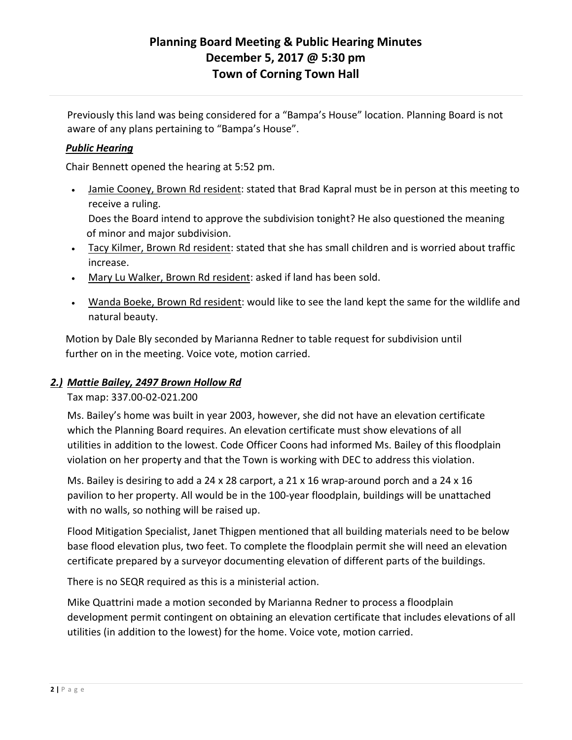# **Planning Board Meeting & Public Hearing Minutes December 5, 2017 @ 5:30 pm Town of Corning Town Hall**

Previously this land was being considered for a "Bampa's House" location. Planning Board is not aware of any plans pertaining to "Bampa's House".

## *Public Hearing*

Chair Bennett opened the hearing at 5:52 pm.

• Jamie Cooney, Brown Rd resident: stated that Brad Kapral must be in person at this meeting to receive a ruling.

Does the Board intend to approve the subdivision tonight? He also questioned the meaning of minor and major subdivision.

- Tacy Kilmer, Brown Rd resident: stated that she has small children and is worried about traffic increase.
- Mary Lu Walker, Brown Rd resident: asked if land has been sold.
- Wanda Boeke, Brown Rd resident: would like to see the land kept the same for the wildlife and natural beauty.

 Motion by Dale Bly seconded by Marianna Redner to table request for subdivision until further on in the meeting. Voice vote, motion carried.

# *2.) Mattie Bailey, 2497 Brown Hollow Rd*

Tax map: 337.00-02-021.200

Ms. Bailey's home was built in year 2003, however, she did not have an elevation certificate which the Planning Board requires. An elevation certificate must show elevations of all utilities in addition to the lowest. Code Officer Coons had informed Ms. Bailey of this floodplain violation on her property and that the Town is working with DEC to address this violation.

Ms. Bailey is desiring to add a 24 x 28 carport, a 21 x 16 wrap-around porch and a 24 x 16 pavilion to her property. All would be in the 100-year floodplain, buildings will be unattached with no walls, so nothing will be raised up.

Flood Mitigation Specialist, Janet Thigpen mentioned that all building materials need to be below base flood elevation plus, two feet. To complete the floodplain permit she will need an elevation certificate prepared by a surveyor documenting elevation of different parts of the buildings.

There is no SEQR required as this is a ministerial action.

Mike Quattrini made a motion seconded by Marianna Redner to process a floodplain development permit contingent on obtaining an elevation certificate that includes elevations of all utilities (in addition to the lowest) for the home. Voice vote, motion carried.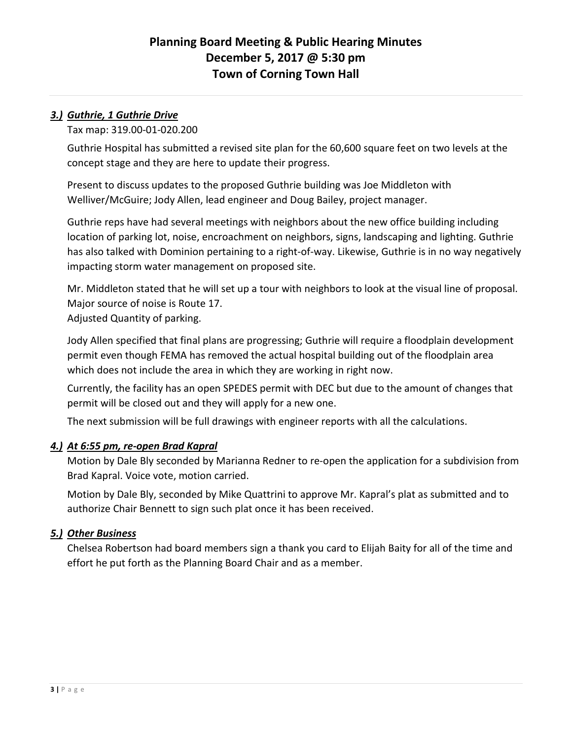# *3.) Guthrie, 1 Guthrie Drive*

Tax map: 319.00-01-020.200

Guthrie Hospital has submitted a revised site plan for the 60,600 square feet on two levels at the concept stage and they are here to update their progress.

Present to discuss updates to the proposed Guthrie building was Joe Middleton with Welliver/McGuire; Jody Allen, lead engineer and Doug Bailey, project manager.

Guthrie reps have had several meetings with neighbors about the new office building including location of parking lot, noise, encroachment on neighbors, signs, landscaping and lighting. Guthrie has also talked with Dominion pertaining to a right-of-way. Likewise, Guthrie is in no way negatively impacting storm water management on proposed site.

Mr. Middleton stated that he will set up a tour with neighbors to look at the visual line of proposal. Major source of noise is Route 17. Adjusted Quantity of parking.

Jody Allen specified that final plans are progressing; Guthrie will require a floodplain development permit even though FEMA has removed the actual hospital building out of the floodplain area which does not include the area in which they are working in right now.

Currently, the facility has an open SPEDES permit with DEC but due to the amount of changes that permit will be closed out and they will apply for a new one.

The next submission will be full drawings with engineer reports with all the calculations.

## *4.) At 6:55 pm, re-open Brad Kapral*

Motion by Dale Bly seconded by Marianna Redner to re-open the application for a subdivision from Brad Kapral. Voice vote, motion carried.

Motion by Dale Bly, seconded by Mike Quattrini to approve Mr. Kapral's plat as submitted and to authorize Chair Bennett to sign such plat once it has been received.

## *5.) Other Business*

Chelsea Robertson had board members sign a thank you card to Elijah Baity for all of the time and effort he put forth as the Planning Board Chair and as a member.